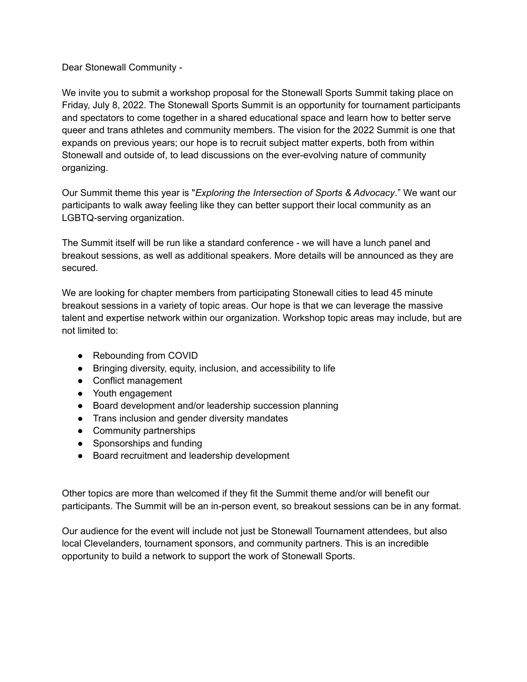## Dear Stonewall Community -

We invite you to submit a workshop proposal for the Stonewall Sports Summit taking place on Friday, July 8, 2022. The Stonewall Sports Summit is an opportunity for tournament participants and spectators to come together in a shared educational space and learn how to better serve queer and trans athletes and community members. The vision for the 2022 Summit is one that expands on previous years; our hope is to recruit subject matter experts, both from within Stonewall and outside of, to lead discussions on the ever-evolving nature of community organizing.

Our Summit theme this year is "*Exploring the Intersection of Sports & Advocacy*." We want our participants to walk away feeling like they can better support their local community as an LGBTQ-serving organization.

The Summit itself will be run like a standard conference - we will have a lunch panel and breakout sessions, as well as additional speakers. More details will be announced as they are secured.

We are looking for chapter members from participating Stonewall cities to lead 45 minute breakout sessions in a variety of topic areas. Our hope is that we can leverage the massive talent and expertise network within our organization. Workshop topic areas may include, but are not limited to:

- Rebounding from COVID
- Bringing diversity, equity, inclusion, and accessibility to life
- Conflict management
- Youth engagement
- Board development and/or leadership succession planning
- Trans inclusion and gender diversity mandates
- Community partnerships
- Sponsorships and funding
- Board recruitment and leadership development

Other topics are more than welcomed if they fit the Summit theme and/or will benefit our participants. The Summit will be an in-person event, so breakout sessions can be in any format.

Our audience for the event will include not just be Stonewall Tournament attendees, but also local Clevelanders, tournament sponsors, and community partners. This is an incredible opportunity to build a network to support the work of Stonewall Sports.